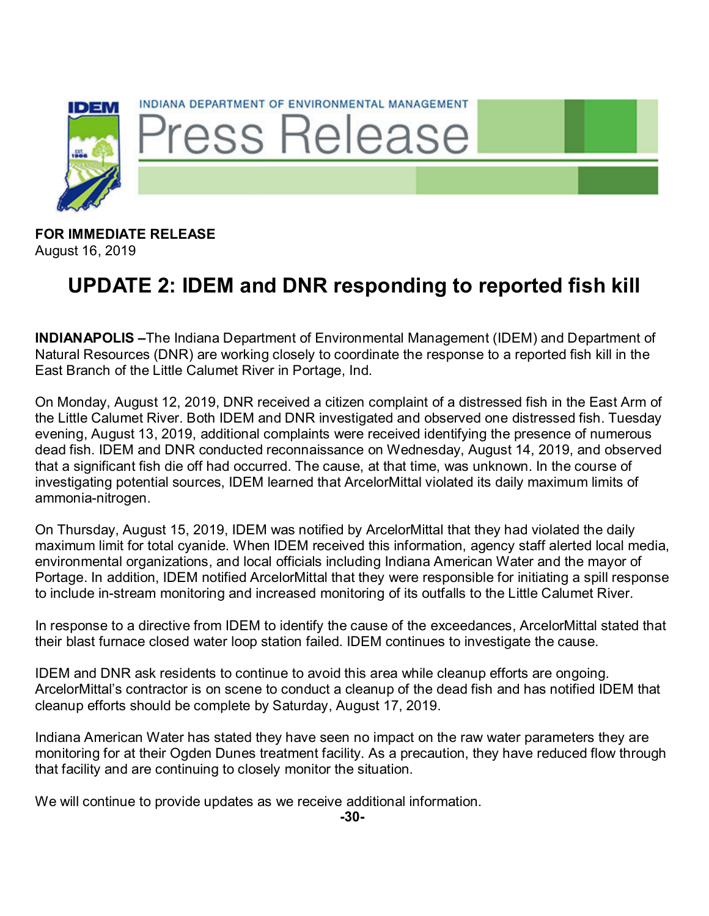

**FOR IMMEDIATE RELEASE** August 16, 2019

## **UPDATE 2: IDEM and DNR responding to reported fish kill**

**INDIANAPOLIS –**The Indiana Department of Environmental Management (IDEM) and Department of Natural Resources (DNR) are working closely to coordinate the response to a reported fish kill in the East Branch of the Little Calumet River in Portage, Ind.

On Monday, August 12, 2019, DNR received a citizen complaint of a distressed fish in the East Arm of the Little Calumet River. Both IDEM and DNR investigated and observed one distressed fish. Tuesday evening, August 13, 2019, additional complaints were received identifying the presence of numerous dead fish. IDEM and DNR conducted reconnaissance on Wednesday, August 14, 2019, and observed that a significant fish die off had occurred. The cause, at that time, was unknown. In the course of investigating potential sources, IDEM learned that ArcelorMittal violated its daily maximum limits of ammonia-nitrogen.

On Thursday, August 15, 2019, IDEM was notified by ArcelorMittal that they had violated the daily maximum limit for total cyanide. When IDEM received this information, agency staff alerted local media, environmental organizations, and local officials including Indiana American Water and the mayor of Portage. In addition, IDEM notified ArcelorMittal that they were responsible for initiating a spill response to include in-stream monitoring and increased monitoring of its outfalls to the Little Calumet River.

In response to a directive from IDEM to identify the cause of the exceedances, ArcelorMittal stated that their blast furnace closed water loop station failed. IDEM continues to investigate the cause.

IDEM and DNR ask residents to continue to avoid this area while cleanup efforts are ongoing. ArcelorMittal's contractor is on scene to conduct a cleanup of the dead fish and has notified IDEM that cleanup efforts should be complete by Saturday, August 17, 2019.

Indiana American Water has stated they have seen no impact on the raw water parameters they are monitoring for at their Ogden Dunes treatment facility. As a precaution, they have reduced flow through that facility and are continuing to closely monitor the situation.

We will continue to provide updates as we receive additional information.